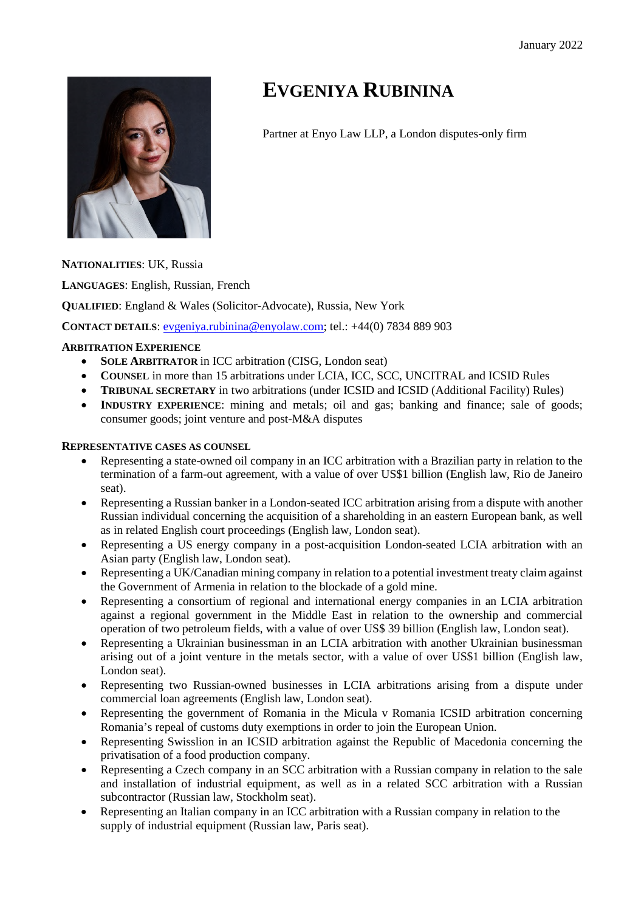

# **EVGENIYA RUBININA**

Partner at Enyo Law LLP, a London disputes-only firm

**NATIONALITIES**: UK, Russia

**LANGUAGES**: English, Russian, French

**QUALIFIED**: England & Wales (Solicitor-Advocate), Russia, New York

**CONTACT DETAILS**: evgeniya.rubinina@enyolaw.com; tel.: +44(0) 7834 889 903

# **ARBITRATION EXPERIENCE**

- **SOLE ARBITRATOR** in ICC arbitration (CISG, London seat)
- COUNSEL in more than 15 arbitrations under LCIA, ICC, SCC, UNCITRAL and ICSID Rules
- **TRIBUNAL SECRETARY** in two arbitrations (under ICSID and ICSID (Additional Facility) Rules)
- **INDUSTRY EXPERIENCE:** mining and metals; oil and gas; banking and finance; sale of goods; consumer goods; joint venture and post-M&A disputes

## **REPRESENTATIVE CASES AS COUNSEL**

- Representing a state-owned oil company in an ICC arbitration with a Brazilian party in relation to the termination of a farm-out agreement, with a value of over US\$1 billion (English law, Rio de Janeiro seat).
- Representing a Russian banker in a London-seated ICC arbitration arising from a dispute with another Russian individual concerning the acquisition of a shareholding in an eastern European bank, as well as in related English court proceedings (English law, London seat).
- Representing a US energy company in a post-acquisition London-seated LCIA arbitration with an Asian party (English law, London seat).
- Representing a UK/Canadian mining company in relation to a potential investment treaty claim against the Government of Armenia in relation to the blockade of a gold mine.
- Representing a consortium of regional and international energy companies in an LCIA arbitration against a regional government in the Middle East in relation to the ownership and commercial operation of two petroleum fields, with a value of over US\$ 39 billion (English law, London seat).
- Representing a Ukrainian businessman in an LCIA arbitration with another Ukrainian businessman arising out of a joint venture in the metals sector, with a value of over US\$1 billion (English law, London seat).
- Representing two Russian-owned businesses in LCIA arbitrations arising from a dispute under commercial loan agreements (English law, London seat).
- Representing the government of Romania in the Micula v Romania ICSID arbitration concerning Romania's repeal of customs duty exemptions in order to join the European Union.
- Representing Swisslion in an ICSID arbitration against the Republic of Macedonia concerning the privatisation of a food production company.
- Representing a Czech company in an SCC arbitration with a Russian company in relation to the sale and installation of industrial equipment, as well as in a related SCC arbitration with a Russian subcontractor (Russian law, Stockholm seat).
- Representing an Italian company in an ICC arbitration with a Russian company in relation to the supply of industrial equipment (Russian law, Paris seat).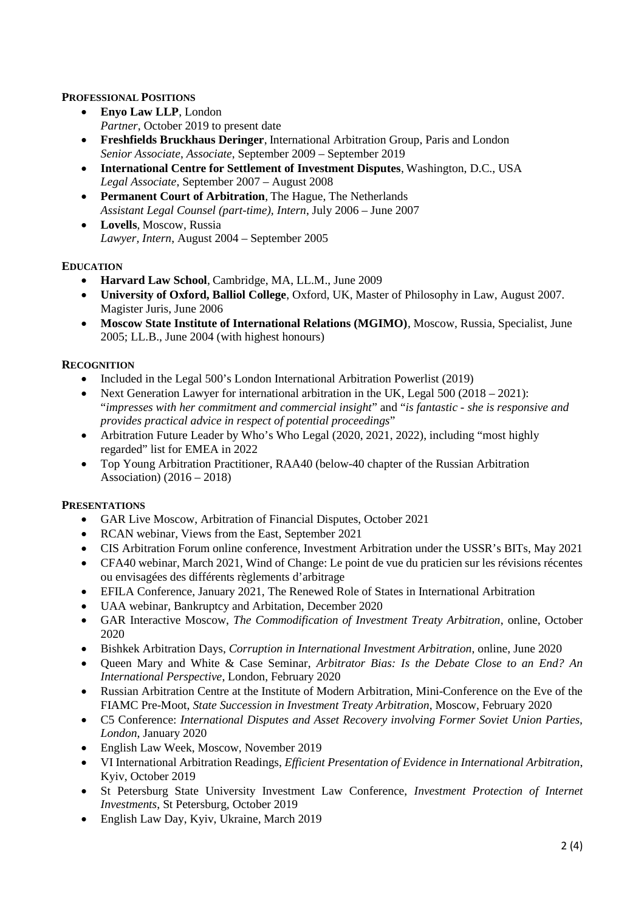## **PROFESSIONAL POSITIONS**

- **Enyo Law LLP**, London *Partner*, October 2019 to present date
- **Freshfields Bruckhaus Deringer**, International Arbitration Group, Paris and London *Senior Associate*, *Associate*, September 2009 – September 2019
- **International Centre for Settlement of Investment Disputes**, Washington, D.C., USA *Legal Associate*, September 2007 – August 2008
- **Permanent Court of Arbitration**, The Hague, The Netherlands *Assistant Legal Counsel (part-time), Intern*, July 2006 – June 2007
- **Lovells**, Moscow, Russia *Lawyer, Intern*, August 2004 – September 2005

## **EDUCATION**

- **Harvard Law School**, Cambridge, MA, LL.M., June 2009
- **University of Oxford, Balliol College**, Oxford, UK, Master of Philosophy in Law, August 2007. Magister Juris, June 2006
- **Moscow State Institute of International Relations (MGIMO)**, Moscow, Russia, Specialist, June 2005; LL.B., June 2004 (with highest honours)

## **RECOGNITION**

- Included in the Legal 500's London International Arbitration Powerlist (2019)
- Next Generation Lawyer for international arbitration in the UK, Legal  $500 (2018 2021)$ : "*impresses with her commitment and commercial insight*" and "*is fantastic - she is responsive and provides practical advice in respect of potential proceedings*"
- Arbitration Future Leader by Who's Who Legal (2020, 2021, 2022), including "most highly regarded" list for EMEA in 2022
- Top Young Arbitration Practitioner, RAA40 (below-40 chapter of the Russian Arbitration Association) (2016 – 2018)

## **PRESENTATIONS**

- GAR Live Moscow, Arbitration of Financial Disputes, October 2021
- RCAN webinar, Views from the East, September 2021
- CIS Arbitration Forum online conference, Investment Arbitration under the USSR's BITs, May 2021
- CFA40 webinar, March 2021, Wind of Change: Le point de vue du praticien sur les révisions récentes ou envisagées des différents règlements d'arbitrage
- EFILA Conference, January 2021, The Renewed Role of States in International Arbitration
- UAA webinar, Bankruptcy and Arbitation, December 2020
- GAR Interactive Moscow, *The Commodification of Investment Treaty Arbitration*, online, October 2020
- Bishkek Arbitration Days, *Corruption in International Investment Arbitration*, online, June 2020
- Queen Mary and White & Case Seminar, *Arbitrator Bias: Is the Debate Close to an End? An International Perspective*, London, February 2020
- Russian Arbitration Centre at the Institute of Modern Arbitration, Mini-Conference on the Eve of the FIAMC Pre-Moot, *State Succession in Investment Treaty Arbitration*, Moscow, February 2020
- C5 Conference: *International Disputes and Asset Recovery involving Former Soviet Union Parties, London*, January 2020
- English Law Week, Moscow, November 2019
- VI International Arbitration Readings, *Efficient Presentation of Evidence in International Arbitration*, Kyiv, October 2019
- St Petersburg State University Investment Law Conference, *Investment Protection of Internet Investments*, St Petersburg, October 2019
- English Law Day, Kyiv, Ukraine, March 2019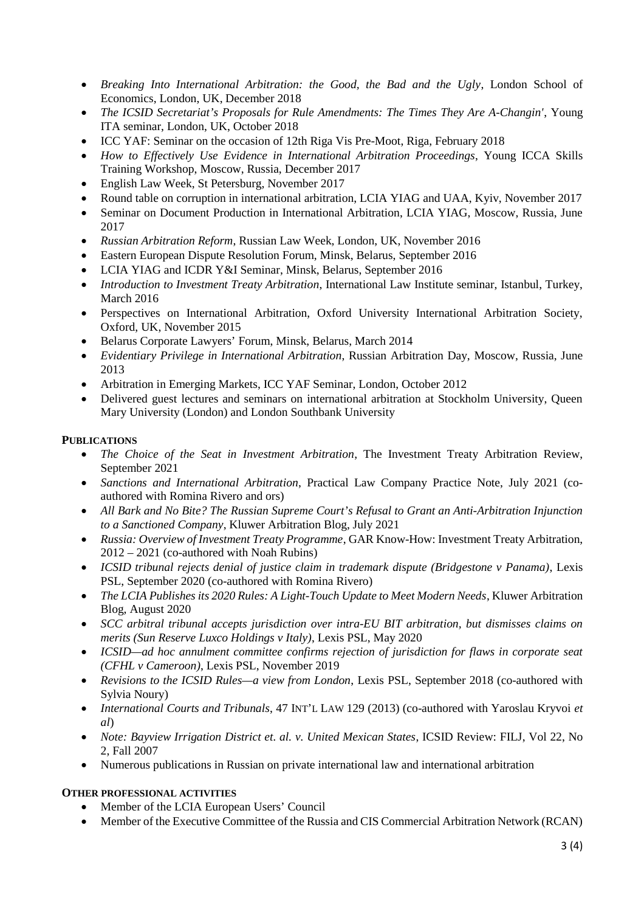- *Breaking Into International Arbitration: the Good, the Bad and the Ugly*, London School of Economics, London, UK, December 2018
- *The ICSID Secretariat's Proposals for Rule Amendments: The Times They Are A-Changin'*, Young ITA seminar, London, UK, October 2018
- ICC YAF: Seminar on the occasion of 12th Riga Vis Pre-Moot, Riga, February 2018
- *How to Effectively Use Evidence in International Arbitration Proceedings*, Young ICCA Skills Training Workshop, Moscow, Russia, December 2017
- English Law Week, St Petersburg, November 2017
- Round table on corruption in international arbitration, LCIA YIAG and UAA, Kyiv, November 2017
- Seminar on Document Production in International Arbitration, LCIA YIAG, Moscow, Russia, June 2017
- *Russian Arbitration Reform*, Russian Law Week, London, UK, November 2016
- Eastern European Dispute Resolution Forum, Minsk, Belarus, September 2016
- LCIA YIAG and ICDR Y&I Seminar, Minsk, Belarus, September 2016
- *Introduction to Investment Treaty Arbitration*, International Law Institute seminar, Istanbul, Turkey, March 2016
- Perspectives on International Arbitration, Oxford University International Arbitration Society, Oxford, UK, November 2015
- Belarus Corporate Lawyers' Forum, Minsk, Belarus, March 2014
- *Evidentiary Privilege in International Arbitration*, Russian Arbitration Day, Moscow, Russia, June 2013
- Arbitration in Emerging Markets, ICC YAF Seminar, London, October 2012
- Delivered guest lectures and seminars on international arbitration at Stockholm University, Queen Mary University (London) and London Southbank University

#### **PUBLICATIONS**

- *The Choice of the Seat in Investment Arbitration*, The Investment Treaty Arbitration Review, September 2021
- *Sanctions and International Arbitration*, Practical Law Company Practice Note, July 2021 (coauthored with Romina Rivero and ors)
- *All Bark and No Bite? The Russian Supreme Court's Refusal to Grant an Anti-Arbitration Injunction to a Sanctioned Company*, Kluwer Arbitration Blog, July 2021
- *Russia: Overview of Investment Treaty Programme*, GAR Know-How: Investment Treaty Arbitration, 2012 – 2021 (co-authored with Noah Rubins)
- *ICSID tribunal rejects denial of justice claim in trademark dispute (Bridgestone v Panama)*, Lexis PSL, September 2020 (co-authored with Romina Rivero)
- *The LCIA Publishes its 2020 Rules: A Light-Touch Update to Meet Modern Needs*, Kluwer Arbitration Blog, August 2020
- *SCC arbitral tribunal accepts jurisdiction over intra-EU BIT arbitration, but dismisses claims on merits (Sun Reserve Luxco Holdings v Italy)*, Lexis PSL, May 2020
- *ICSID—ad hoc annulment committee confirms rejection of jurisdiction for flaws in corporate seat (CFHL v Cameroon)*, Lexis PSL, November 2019
- *Revisions to the ICSID Rules—a view from London*, Lexis PSL, September 2018 (co-authored with Sylvia Noury)
- *International Courts and Tribunals*, 47 INT'L LAW 129 (2013) (co-authored with Yaroslau Kryvoi *et al*)
- *Note: Bayview Irrigation District et. al. v. United Mexican States*, ICSID Review: FILJ, Vol 22, No 2, Fall 2007
- Numerous publications in Russian on private international law and international arbitration

#### **OTHER PROFESSIONAL ACTIVITIES**

- Member of the LCIA European Users' Council
- Member of the Executive Committee of the Russia and CIS Commercial Arbitration Network (RCAN)